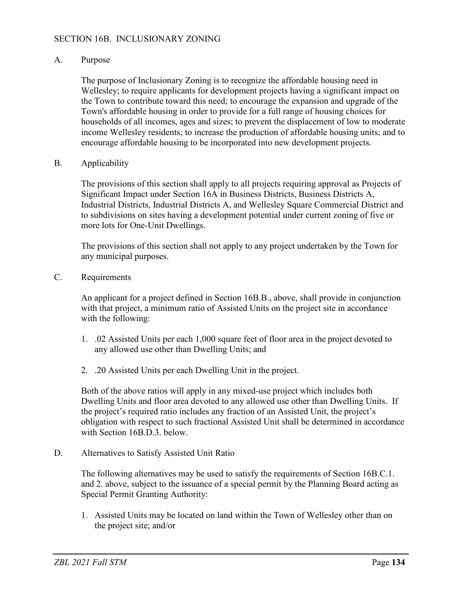## A. Purpose

The purpose of Inclusionary Zoning is to recognize the affordable housing need in Wellesley; to require applicants for development projects having a significant impact on the Town to contribute toward this need; to encourage the expansion and upgrade of the Town's affordable housing in order to provide for a full range of housing choices for households of all incomes, ages and sizes; to prevent the displacement of low to moderate income Wellesley residents; to increase the production of affordable housing units; and to encourage affordable housing to be incorporated into new development projects.

## B. Applicability

The provisions of this section shall apply to all projects requiring approval as Projects of Significant Impact under Section 16A in Business Districts, Business Districts A, Industrial Districts, Industrial Districts A, and Wellesley Square Commercial District and to subdivisions on sites having a development potential under current zoning of five or more lots for One-Unit Dwellings.

The provisions of this section shall not apply to any project undertaken by the Town for any municipal purposes.

C. Requirements

An applicant for a project defined in Section 16B.B., above, shall provide in conjunction with that project, a minimum ratio of Assisted Units on the project site in accordance with the following:

- 1. .02 Assisted Units per each 1,000 square feet of floor area in the project devoted to any allowed use other than Dwelling Units; and
- 2. .20 Assisted Units per each Dwelling Unit in the project.

Both of the above ratios will apply in any mixed-use project which includes both Dwelling Units and floor area devoted to any allowed use other than Dwelling Units. If the project's required ratio includes any fraction of an Assisted Unit, the project's obligation with respect to such fractional Assisted Unit shall be determined in accordance with Section 16B.D.3. below.

D. Alternatives to Satisfy Assisted Unit Ratio

The following alternatives may be used to satisfy the requirements of Section 16B.C.1. and 2. above, subject to the issuance of a special permit by the Planning Board acting as Special Permit Granting Authority:

1. Assisted Units may be located on land within the Town of Wellesley other than on the project site; and/or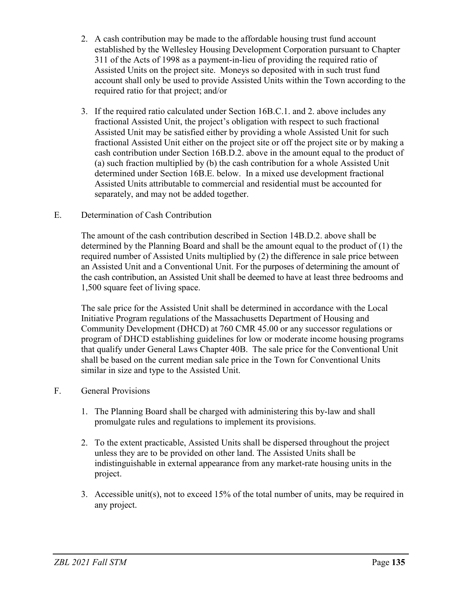- 2. A cash contribution may be made to the affordable housing trust fund account established by the Wellesley Housing Development Corporation pursuant to Chapter 311 of the Acts of 1998 as a payment-in-lieu of providing the required ratio of Assisted Units on the project site. Moneys so deposited with in such trust fund account shall only be used to provide Assisted Units within the Town according to the required ratio for that project; and/or
- 3. If the required ratio calculated under Section 16B.C.1. and 2. above includes any fractional Assisted Unit, the project's obligation with respect to such fractional Assisted Unit may be satisfied either by providing a whole Assisted Unit for such fractional Assisted Unit either on the project site or off the project site or by making a cash contribution under Section 16B.D.2. above in the amount equal to the product of (a) such fraction multiplied by (b) the cash contribution for a whole Assisted Unit determined under Section 16B.E. below. In a mixed use development fractional Assisted Units attributable to commercial and residential must be accounted for separately, and may not be added together.
- E. Determination of Cash Contribution

The amount of the cash contribution described in Section 14B.D.2. above shall be determined by the Planning Board and shall be the amount equal to the product of (1) the required number of Assisted Units multiplied by (2) the difference in sale price between an Assisted Unit and a Conventional Unit. For the purposes of determining the amount of the cash contribution, an Assisted Unit shall be deemed to have at least three bedrooms and 1,500 square feet of living space.

The sale price for the Assisted Unit shall be determined in accordance with the Local Initiative Program regulations of the Massachusetts Department of Housing and Community Development (DHCD) at 760 CMR 45.00 or any successor regulations or program of DHCD establishing guidelines for low or moderate income housing programs that qualify under General Laws Chapter 40B. The sale price for the Conventional Unit shall be based on the current median sale price in the Town for Conventional Units similar in size and type to the Assisted Unit.

- F. General Provisions
	- 1. The Planning Board shall be charged with administering this by-law and shall promulgate rules and regulations to implement its provisions.
	- 2. To the extent practicable, Assisted Units shall be dispersed throughout the project unless they are to be provided on other land. The Assisted Units shall be indistinguishable in external appearance from any market-rate housing units in the project.
	- 3. Accessible unit(s), not to exceed 15% of the total number of units, may be required in any project.